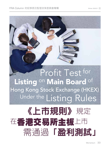

# Profit Test for Listing on Main Board of Hong Kong Stock Exchange (HKEX) Under the Listing Rules

# 《上市規則》規定 在香港交易所主板上市 需通過「盈利測試」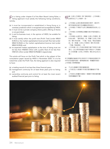For a listing under chapter 8 of the Main Board Listing Rules, a<br>listing applicant must satisfy the following listing conditions. listing applicant must satisfy the following listing conditions, namely,

- (a) it must be incorporated or established in Hong Kong or in overseas jurisdiction which is recognised and acceptable by HKEX;
- (b) it must not be a private company where public offering of shares is not permitted;
- (c) it and its business must, in the opinion of HKEX, be suitable for listing;
- (d) it must satisfy either the profit test (Profit Test) (under MBLR 8.05(1)) or the market capitalisation/revenue/cash flow test (under MBLR 8.05(2)) or the market capitalisation/revenue test (under MBLR 8.05(3)); and
- (e) its expected market capitalisation at the time of listing must not be less than HK\$500 million with a public float of not less than HK\$125 million (under MBLR 8.09(2)&(1) respectively).

This article will focus on the Profit Test which is the subject of the consultation paper issued by HKEX in November 2020. It is to be noted that under the Profit Test, the listing applicant is also required to have:

- (a) a trading record of not less than three financial years;
- (b) management continuity for at least three years prior to listing; and
- (c) ownership continuity and control for at least the most recent audited financial year prior to listing.

★日據《主板上市規則》第八章的規定,上市申請人<br>本日 ※須符合以下上市條件,即:

- (a) 上市申請人必須在香港或香港交易所(港交所) 認可和接受的海外司法權區註冊或成立;
- (b) 上市申請人不得是不允許公開發售股份的私人公 司;
- (c) 上市申請人及其業務必須屬於港交所認為適合上 市者;
- (d) 上市申請人必須符合(根據《主板上市規則》第 8.05(1)條)「盈利測試」或(根據《主板上市規 則》第8.05(2)條)「市值╱收益╱現金流量測 試」或(根據《主板上市規則》第8.05(3)條) 「市值╱收益測試」;及
- (e) 上市申請人在上市時的預期市值不得低於5億 港元,且公眾持股量的市值不得低於1.25億港 元(分別根據《主板上市規則》第8.09 (2) 及 (1) 條)。

本文將重點討論港交所在2020年11月發佈的諮詢文件 中所涉及的盈利測試。值得留意的是,根據盈利測試, 上市申請人同時需具備:

- (a) 不少於3個會計年度的營業記錄;
- (b) 上市前至少 3 個會計年度的管理層維持不變; 及
- (c) 上市前至少經審計的最近一個會計年度的擁有權 和控制權維持不變。

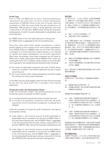# **Profit Test**

Prior to 1994, the MBLR did not have a financial performance requirement but only had a minimum market capitalisation requirement of HK\$100 million at the time of listing. After the consultation in 1994, the current Profit Test was introduced on 15 September 1994 pursuant to which a listing applicant must have a total profit of not less than HK\$50 million during the three-year trading period, of which the profit attributable to shareholders must not be less than:

- (a) HK\$20 million in the most recent year prior to listing; and
- (b) HK\$30 million in aggregate for the two preceding years.

Since then, there were further market consultations in relation thereto leading to the increase of the initial market capitalisation from HK\$100 million to HK\$500 million but the Profit Test remains unchanged. It is to be noted that a listed company is not required to maintain the market capitalisation nor the profit requirement after listing. Accordingly, many listed companies are still listed on HKEX with a market capitalisation below HK\$500 million and/or not meeting the Profit Test. In addition, profit is based on the profit after tax as reported in the audited financial statements after excluding:

- (a) the results of associated companies and other entities whose results are recorded in the financial statements by way of equity accounting; and
- (b) all or any incomes and/or losses generated by activities outside the ordinary and usual course of business,

to the effect that the profit eligible under the Profit Test will normally be less than the actual profit that is recorded in the financial statements.

### **Proposals under the Consultation Paper**

Under the Consultation Paper, the following proposals are put forward for market consultation by HKEX, namely,

- (a) to increase the profit requirement under the Profit Test; and
- (b) to introduce (i) temporary conditional relief from the profit requirement and (ii) transitional arrangement if proposal (a) is adopted.

Under the proposal to increase the profit requirement, two options are proposed, namely,

- (a) under Option 1, the minimum amount of profit attributable to shareholders will be increased to not less than (i) HK\$50 million in the most recent financial year, and (ii) HK\$75 million in aggregate in the two preceding financial years making a total profit of not less than HK\$125 million during the three-year trading period; and
- (b) under Option 2, the minimum amount of profit attributable to shareholders will be increased to not less than (i) HK\$60 million in the most financial year, and (ii) HK\$90 million in aggregate in the two preceding financial years making a total profit of not less than HK\$150 million during the three-year trading period.

#### **盈利測試**

於1994年之前,《主板上市規則》並無財務業績要 求,僅要求於上市時市值最少達到1億港元。於1994 年進行諮詢後,於1994年9月15日引入現行的盈利測 試,據此上市申請人於三年營業期內的總盈利必須不 少於5,000萬港元,其中股東應佔盈利必須符合以下要 求:

- (a) 最近一年不低於2,000萬港元;及
- (b) 前兩年累計不低於3,000萬港元。

此後,有關方面進行了進一步市場諮詢,將初始市值 由1億港元漸次提高至5億港元,但盈利測試保持不 變。要留意的是,上市公司於上市後無需維持市值或 盈利規定。因此,許多上市公司即使市值低於5億港元 及/或未達到盈利測試要求,仍繼續在港交所上市。 此外,盈利是基於經審計財務報表中所報告的除稅後 盈利,並扣除:

- (a) 聯營公司及其業績是以權益會計法記入財務報表 內的其他實體;及
- (b) 日常及正常經營業務以外的活動所產生的所有或 任何收入或虧損,

因此,盈利測試下合資格的盈利通常會少於記入財務 報表的實際盈利。

#### **諮詢文件的建議**

在諮詢文件中,港交所提出以下建議徵詢市場意見, 即:

- (a) 調高盈利測試中的盈利規定;及
- (b) 若建議(a)被採納,推出(i)有條件的盈利規定的臨 時寬限及(ii)過渡安排。

調高盈利規定的建議提出兩個方案,即:

- (a) 方案1,股東應佔盈利的最低要求將調高如下: (i)最近一個財政年度須不低於5,000萬港元;及 (ii) 其前兩個財政年度累計須不低於7,500萬港 元,即三年營業期內的總盈利不少於1.25億港 元;及
- (b) 方案2,股東應佔盈利的最低要求將調高如下: (i)最近一個財政年度須不低於6,000萬港元;及 (ii) 其前兩個財政年度累計須不低於9,000萬港 元,即三年營業期內的總盈利不少於1.5億港元。

若調高盈利規定的建議被採納,將推出有條件的臨時 寬限及過渡安排,以應對因新型冠狀病毒疫情肆虐及 中美政治經濟局勢不明朗,對業務營運及盈利造成的 不利影響,詳情載於諮詢文件第二及第三章。

#### **提出建議的理由**

經過2017年的諮詢,上市公司於上市時的市值已經由 2億港元提高至5億港元,但由於盈利規定保持不變,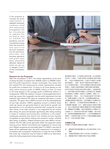If the proposal to increase the profit requirement is adopted, temporary condition relief and transitional arrangement will be introduced to address the h a r d s h i p d u e t o C O V I D - 1 9 pandemic and the uncertainties arising from the economic and political tensions between the US and China, whereby the business operation and profit have been adversely affected, details of which are set out in chapters 2 and 3 of the Consultation Paper.



# **Reasons for the Proposals**

After the consultation in 2017, the market capitalisation at the time of listing has been increased from HK\$200 million to HK\$500 million with the profit requirement remains unchanged. This means that the implied P/E ratio (measured by market capitalisation divided by profit) has increased from 10 times to 25 times (based on the most recent minimum profit of HK\$20 million) or from 12 times to 30 times (based on the average profit of HK\$16.66 million). In consequence, HKEX has noted an increase in listing applications from small cap issuers that marginally met the profit requirement but had relatively high historical P/E ratios as compared with peers in similar industries. This gave rise to HKEX's concern as to the reasonableness of such high valuation. HKEX's regulatory concern is whether these small cap issuers are genuinely listed to raise funds for growth and development or to manufacture potential shell companies for sale after listing. If the high valuation is not supported by the market after listing, the price will decrease significantly after listing resulting in losses to investors and hurting their confidence in the market. Inadequate demands also lead to thin trading and low liquidity susceptible to speculative trading and excessive market volatility after listing. In addition, inflated valuations also raise HKEX's concern whether the IPO offer prices genuinely reflect the expected market clearing prices. Market misconducts are suggested to ensure that such inflated companies are eventually listed. It is HKEX's view that all these will be addressed when the profit requirement is increased in accordance with its proposal. Furthermore, it is also the view of HKEX that small cap companies may be listed on GEM as an alternative where the listing requirement is less stringent.

意味隱含市盈率(以市値除以盈利計算) 由10倍提高 至25倍(以最近一年最少錄得2,000萬港元盈利為基 準),或由12倍提高至30倍(以每年平均盈利1,666萬 港元為基準)。結果,港交所注意到來自低市值發行人 的上市申請有所增加,它們往往僅僅符合盈利規定的最 低要求,但歷史市盈率與類似行業的同業比較則偏高, 從而引起港交所對高估值合理性的關注。從監管角度 上,港交所關注這些低市值發行人是否真正為了業務增 長和發展而上市融資,或是為了日後轉手「借殼上市」 而製造潛在「殼股」。若上市後高估值得不到市場支 持,股價可能會在上市後大跌,以致損害投資者利益, 並影響投資者對市場的信心。因市場需求不足導致交投 量少、流動性低,上市後更容易受到投機炒賣左右,並 引發股價大幅波動。此外,過高的估值也引發港交所關 注,首次公開招股發行價是否真實反映市場的預期價 格。根據港交所的觀點,這些估值過高的公司最終之所 以能夠上市,是因為有市場失當行為護航。港交所認 為,若按照其建議調高盈利規定,上述所有問題都將得 到解決,又認為低市値公司可在上市規定較寬鬆的創業 板上市,作為主板的替代選擇。

#### **本商會的立場**

本商會不支持調高利潤規定的建議,理由如下:

- (a) 調高盈利規定會剝奪本地小型企業在香港上市的 機會;
- (b) 亦會削弱香港吸引海外公司來港上市的競爭力;
- (c) 調高盈利規定不能解決港交所指出的問題;